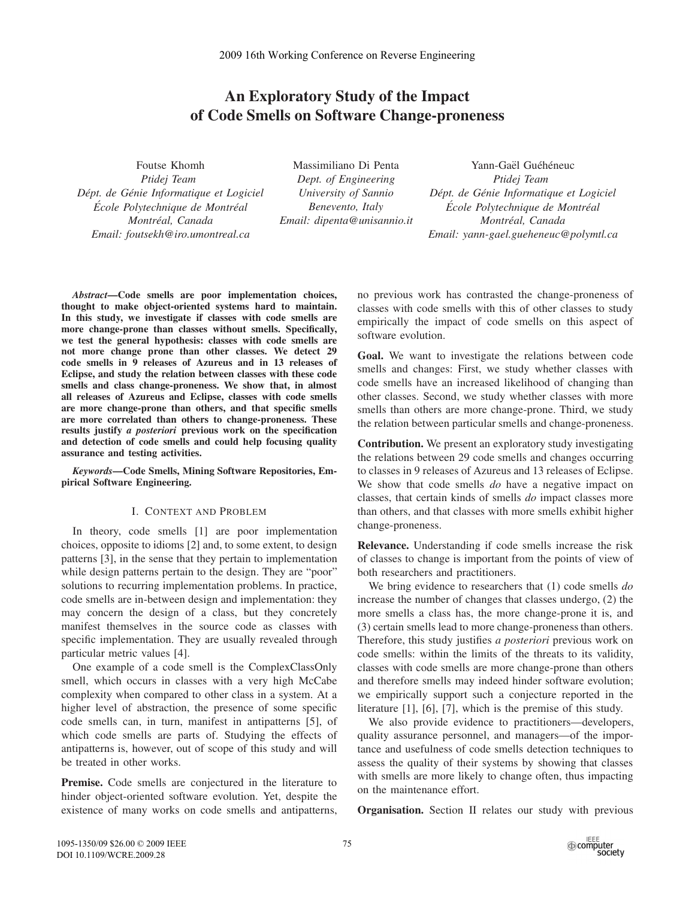# **An Exploratory Study of the Impact of Code Smells on Software Change-proneness**

Foutse Khomh *Ptidej Team Dept. de G ´ enie Informatique et Logiciel ´*  $École Polytechnique de Montréal$ *Montreal, Canada ´ Email: foutsekh@iro.umontreal.ca*

Massimiliano Di Penta *Dept. of Engineering University of Sannio Benevento, Italy Email: dipenta@unisannio.it*

Yann-Gaël Guéhéneuc *Ptidej Team Dept. de G ´ enie Informatique et Logiciel ´*  $École Polytechnique de Montréal$ *Montreal, Canada ´ Email: yann-gael.gueheneuc@polymtl.ca*

*Abstract***—Code smells are poor implementation choices, thought to make object-oriented systems hard to maintain. In this study, we investigate if classes with code smells are more change-prone than classes without smells. Specifically, we test the general hypothesis: classes with code smells are not more change prone than other classes. We detect 29 code smells in 9 releases of Azureus and in 13 releases of Eclipse, and study the relation between classes with these code smells and class change-proneness. We show that, in almost all releases of Azureus and Eclipse, classes with code smells are more change-prone than others, and that specific smells are more correlated than others to change-proneness. These results justify** *a posteriori* **previous work on the specification and detection of code smells and could help focusing quality assurance and testing activities.**

*Keywords***—Code Smells, Mining Software Repositories, Empirical Software Engineering.**

# I. CONTEXT AND PROBLEM

In theory, code smells [1] are poor implementation choices, opposite to idioms [2] and, to some extent, to design patterns [3], in the sense that they pertain to implementation while design patterns pertain to the design. They are "poor" solutions to recurring implementation problems. In practice, code smells are in-between design and implementation: they may concern the design of a class, but they concretely manifest themselves in the source code as classes with specific implementation. They are usually revealed through particular metric values [4].

One example of a code smell is the ComplexClassOnly smell, which occurs in classes with a very high McCabe complexity when compared to other class in a system. At a higher level of abstraction, the presence of some specific code smells can, in turn, manifest in antipatterns [5], of which code smells are parts of. Studying the effects of antipatterns is, however, out of scope of this study and will be treated in other works.

**Premise.** Code smells are conjectured in the literature to hinder object-oriented software evolution. Yet, despite the existence of many works on code smells and antipatterns, no previous work has contrasted the change-proneness of classes with code smells with this of other classes to study empirically the impact of code smells on this aspect of software evolution.

**Goal.** We want to investigate the relations between code smells and changes: First, we study whether classes with code smells have an increased likelihood of changing than other classes. Second, we study whether classes with more smells than others are more change-prone. Third, we study the relation between particular smells and change-proneness.

**Contribution.** We present an exploratory study investigating the relations between 29 code smells and changes occurring to classes in 9 releases of Azureus and 13 releases of Eclipse. We show that code smells *do* have a negative impact on classes, that certain kinds of smells *do* impact classes more than others, and that classes with more smells exhibit higher change-proneness.

**Relevance.** Understanding if code smells increase the risk of classes to change is important from the points of view of both researchers and practitioners.

We bring evidence to researchers that (1) code smells *do* increase the number of changes that classes undergo, (2) the more smells a class has, the more change-prone it is, and (3) certain smells lead to more change-proneness than others. Therefore, this study justifies *a posteriori* previous work on code smells: within the limits of the threats to its validity, classes with code smells are more change-prone than others and therefore smells may indeed hinder software evolution; we empirically support such a conjecture reported in the literature [1], [6], [7], which is the premise of this study.

We also provide evidence to practitioners—developers, quality assurance personnel, and managers—of the importance and usefulness of code smells detection techniques to assess the quality of their systems by showing that classes with smells are more likely to change often, thus impacting on the maintenance effort.

**Organisation.** Section II relates our study with previous

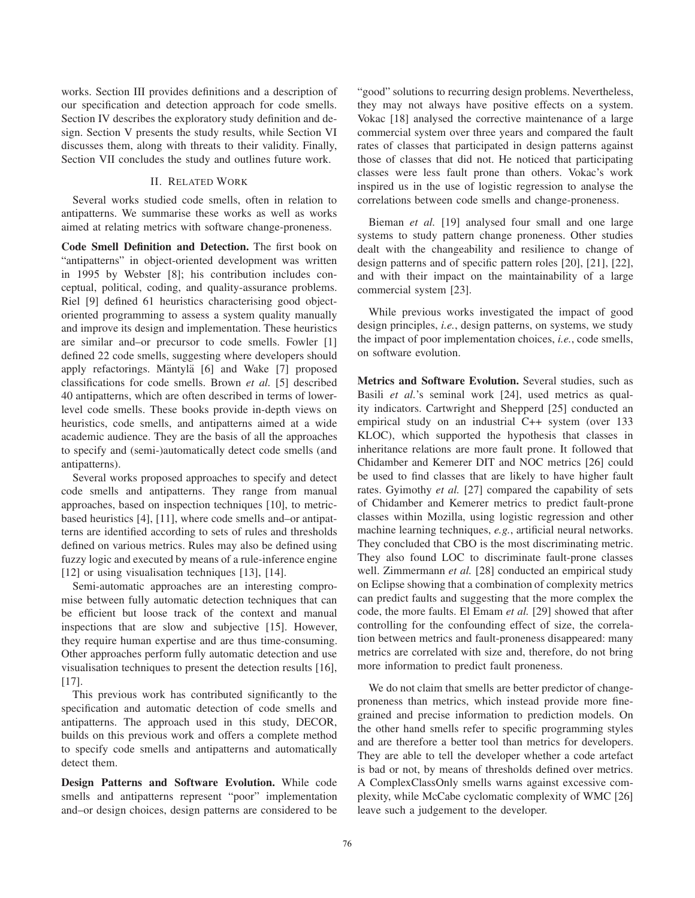works. Section III provides definitions and a description of our specification and detection approach for code smells. Section IV describes the exploratory study definition and design. Section V presents the study results, while Section VI discusses them, along with threats to their validity. Finally, Section VII concludes the study and outlines future work.

# II. RELATED WORK

Several works studied code smells, often in relation to antipatterns. We summarise these works as well as works aimed at relating metrics with software change-proneness.

**Code Smell Definition and Detection.** The first book on "antipatterns" in object-oriented development was written in 1995 by Webster [8]; his contribution includes conceptual, political, coding, and quality-assurance problems. Riel [9] defined 61 heuristics characterising good objectoriented programming to assess a system quality manually and improve its design and implementation. These heuristics are similar and–or precursor to code smells. Fowler [1] defined 22 code smells, suggesting where developers should apply refactorings. Mäntylä [6] and Wake [7] proposed classifications for code smells. Brown *et al.* [5] described 40 antipatterns, which are often described in terms of lowerlevel code smells. These books provide in-depth views on heuristics, code smells, and antipatterns aimed at a wide academic audience. They are the basis of all the approaches to specify and (semi-)automatically detect code smells (and antipatterns).

Several works proposed approaches to specify and detect code smells and antipatterns. They range from manual approaches, based on inspection techniques [10], to metricbased heuristics [4], [11], where code smells and–or antipatterns are identified according to sets of rules and thresholds defined on various metrics. Rules may also be defined using fuzzy logic and executed by means of a rule-inference engine [12] or using visualisation techniques [13], [14].

Semi-automatic approaches are an interesting compromise between fully automatic detection techniques that can be efficient but loose track of the context and manual inspections that are slow and subjective [15]. However, they require human expertise and are thus time-consuming. Other approaches perform fully automatic detection and use visualisation techniques to present the detection results [16], [17].

This previous work has contributed significantly to the specification and automatic detection of code smells and antipatterns. The approach used in this study, DECOR, builds on this previous work and offers a complete method to specify code smells and antipatterns and automatically detect them.

**Design Patterns and Software Evolution.** While code smells and antipatterns represent "poor" implementation and–or design choices, design patterns are considered to be "good" solutions to recurring design problems. Nevertheless, they may not always have positive effects on a system. Vokac [18] analysed the corrective maintenance of a large commercial system over three years and compared the fault rates of classes that participated in design patterns against those of classes that did not. He noticed that participating classes were less fault prone than others. Vokac's work inspired us in the use of logistic regression to analyse the correlations between code smells and change-proneness.

Bieman *et al.* [19] analysed four small and one large systems to study pattern change proneness. Other studies dealt with the changeability and resilience to change of design patterns and of specific pattern roles [20], [21], [22], and with their impact on the maintainability of a large commercial system [23].

While previous works investigated the impact of good design principles, *i.e.*, design patterns, on systems, we study the impact of poor implementation choices, *i.e.*, code smells, on software evolution.

**Metrics and Software Evolution.** Several studies, such as Basili *et al.*'s seminal work [24], used metrics as quality indicators. Cartwright and Shepperd [25] conducted an empirical study on an industrial C++ system (over 133 KLOC), which supported the hypothesis that classes in inheritance relations are more fault prone. It followed that Chidamber and Kemerer DIT and NOC metrics [26] could be used to find classes that are likely to have higher fault rates. Gyimothy *et al.* [27] compared the capability of sets of Chidamber and Kemerer metrics to predict fault-prone classes within Mozilla, using logistic regression and other machine learning techniques, *e.g.*, artificial neural networks. They concluded that CBO is the most discriminating metric. They also found LOC to discriminate fault-prone classes well. Zimmermann *et al.* [28] conducted an empirical study on Eclipse showing that a combination of complexity metrics can predict faults and suggesting that the more complex the code, the more faults. El Emam *et al.* [29] showed that after controlling for the confounding effect of size, the correlation between metrics and fault-proneness disappeared: many metrics are correlated with size and, therefore, do not bring more information to predict fault proneness.

We do not claim that smells are better predictor of changeproneness than metrics, which instead provide more finegrained and precise information to prediction models. On the other hand smells refer to specific programming styles and are therefore a better tool than metrics for developers. They are able to tell the developer whether a code artefact is bad or not, by means of thresholds defined over metrics. A ComplexClassOnly smells warns against excessive complexity, while McCabe cyclomatic complexity of WMC [26] leave such a judgement to the developer.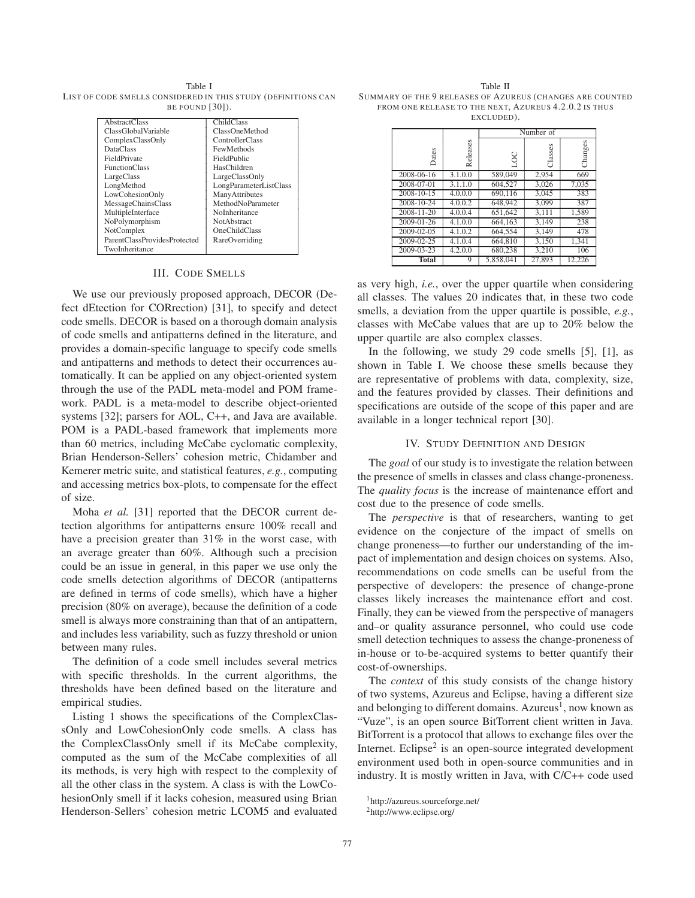Table I LIST OF CODE SMELLS CONSIDERED IN THIS STUDY (DEFINITIONS CAN BE FOUND [30]).

| AbstractClass                | ChildClass             |  |
|------------------------------|------------------------|--|
| ClassGlobalVariable          | ClassOneMethod         |  |
| ComplexClassOnly             | ControllerClass        |  |
| <b>DataClass</b>             | <b>FewMethods</b>      |  |
| FieldPrivate                 | FieldPublic            |  |
| <b>FunctionClass</b>         | HasChildren            |  |
| LargeClass                   | LargeClassOnly         |  |
| LongMethod                   | LongParameterListClass |  |
| LowCohesionOnly              | ManyAttributes         |  |
| MessageChainsClass           | MethodNoParameter      |  |
| MultipleInterface            | NoInheritance          |  |
| NoPolymorphism               | <b>NotAbstract</b>     |  |
| NotComplex                   | <b>OneChildClass</b>   |  |
| ParentClassProvidesProtected | RareOverriding         |  |
| TwoInheritance               |                        |  |

# III. CODE SMELLS

We use our previously proposed approach, DECOR (Defect dEtection for CORrection) [31], to specify and detect code smells. DECOR is based on a thorough domain analysis of code smells and antipatterns defined in the literature, and provides a domain-specific language to specify code smells and antipatterns and methods to detect their occurrences automatically. It can be applied on any object-oriented system through the use of the PADL meta-model and POM framework. PADL is a meta-model to describe object-oriented systems [32]; parsers for AOL, C++, and Java are available. POM is a PADL-based framework that implements more than 60 metrics, including McCabe cyclomatic complexity, Brian Henderson-Sellers' cohesion metric, Chidamber and Kemerer metric suite, and statistical features, *e.g.*, computing and accessing metrics box-plots, to compensate for the effect of size.

Moha *et al.* [31] reported that the DECOR current detection algorithms for antipatterns ensure 100% recall and have a precision greater than 31% in the worst case, with an average greater than 60%. Although such a precision could be an issue in general, in this paper we use only the code smells detection algorithms of DECOR (antipatterns are defined in terms of code smells), which have a higher precision (80% on average), because the definition of a code smell is always more constraining than that of an antipattern, and includes less variability, such as fuzzy threshold or union between many rules.

The definition of a code smell includes several metrics with specific thresholds. In the current algorithms, the thresholds have been defined based on the literature and empirical studies.

Listing 1 shows the specifications of the ComplexClassOnly and LowCohesionOnly code smells. A class has the ComplexClassOnly smell if its McCabe complexity, computed as the sum of the McCabe complexities of all its methods, is very high with respect to the complexity of all the other class in the system. A class is with the LowCohesionOnly smell if it lacks cohesion, measured using Brian Henderson-Sellers' cohesion metric LCOM5 and evaluated

Table II SUMMARY OF THE 9 RELEASES OF AZUREUS (CHANGES ARE COUNTED FROM ONE RELEASE TO THE NEXT, AZUREUS 4.2.0.2 IS THUS EXCLUDED).

|                  |          | Number of |         |         |
|------------------|----------|-----------|---------|---------|
| Dates            | Releases | 90T       | Classes | Changes |
| 2008-06-16       | 3.1.0.0  | 589,049   | 2.954   | 669     |
| 2008-07-01       | 3.1.1.0  | 604.527   | 3.026   | 7,035   |
| 2008-10-15       | 4.0.0.0  | 690,116   | 3.045   | 383     |
| 2008-10-24       | 4.0.0.2  | 648,942   | 3.099   | 387     |
| 2008-11-20       | 4.0.0.4  | 651.642   | 3.111   | 1,589   |
| 2009-01-26       | 4.1.0.0  | 664,163   | 3.149   | 238     |
| $2009 - 02 - 05$ | 4.1.0.2  | 664.554   | 3.149   | 478     |
| 2009-02-25       | 4.1.0.4  | 664,810   | 3.150   | 1,341   |
| 2009-03-23       | 4.2.0.0  | 680.238   | 3.210   | 106     |
| <b>Total</b>     | 9        | 5.858,041 | 27,893  | 12,226  |

as very high, *i.e.*, over the upper quartile when considering all classes. The values 20 indicates that, in these two code smells, a deviation from the upper quartile is possible, *e.g.*, classes with McCabe values that are up to 20% below the upper quartile are also complex classes.

In the following, we study 29 code smells [5], [1], as shown in Table I. We choose these smells because they are representative of problems with data, complexity, size, and the features provided by classes. Their definitions and specifications are outside of the scope of this paper and are available in a longer technical report [30].

## IV. STUDY DEFINITION AND DESIGN

The *goal* of our study is to investigate the relation between the presence of smells in classes and class change-proneness. The *quality focus* is the increase of maintenance effort and cost due to the presence of code smells.

The *perspective* is that of researchers, wanting to get evidence on the conjecture of the impact of smells on change proneness—to further our understanding of the impact of implementation and design choices on systems. Also, recommendations on code smells can be useful from the perspective of developers: the presence of change-prone classes likely increases the maintenance effort and cost. Finally, they can be viewed from the perspective of managers and–or quality assurance personnel, who could use code smell detection techniques to assess the change-proneness of in-house or to-be-acquired systems to better quantify their cost-of-ownerships.

The *context* of this study consists of the change history of two systems, Azureus and Eclipse, having a different size and belonging to different domains. Azureus<sup>1</sup>, now known as "Vuze", is an open source BitTorrent client written in Java. BitTorrent is a protocol that allows to exchange files over the Internet. Eclipse<sup>2</sup> is an open-source integrated development environment used both in open-source communities and in industry. It is mostly written in Java, with C/C++ code used

<sup>1</sup>http://azureus.sourceforge.net/

<sup>2</sup>http://www.eclipse.org/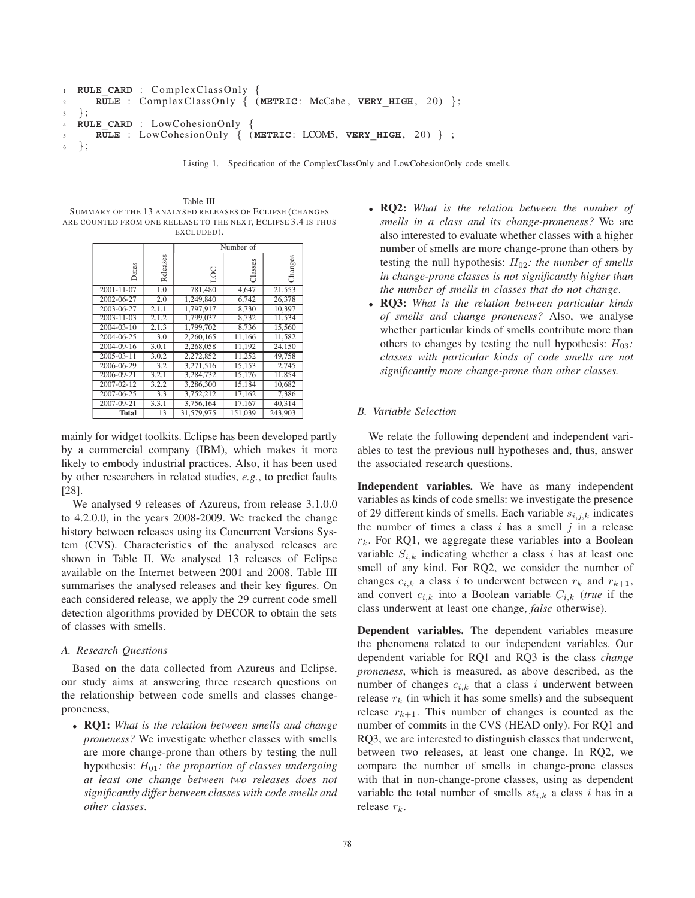```
1 RULE CARD : ComplexClassOnly {
2 RULE : ComplexClassOnly { (METRIC: McCabe , VERY_HIGH , 20) };
3 };
4 RULE_CARD : LowCohesionOnly {
5 RULE : LowCohesionOnly { (METRIC: LCOM5, VERY_HIGH, 20) } ;
6 };
```
Listing 1. Specification of the ComplexClassOnly and LowCohesionOnly code smells.

Table III SUMMARY OF THE 13 ANALYSED RELEASES OF ECLIPSE (CHANGES ARE COUNTED FROM ONE RELEASE TO THE NEXT, ECLIPSE 3.4 IS THUS EXCLUDED).

|                  |          | Number of  |         |         |
|------------------|----------|------------|---------|---------|
| Dates            | Releases | g          | Classes | Changes |
| 2001-11-07       | 1.0      | 781,480    | 4,647   | 21,553  |
| 2002-06-27       | 2.0      | 1.249.840  | 6,742   | 26,378  |
| 2003-06-27       | 2.1.1    | 1,797,917  | 8,730   | 10,397  |
| $2003 - 11 - 03$ | 2.1.2    | 1.799.037  | 8,732   | 11,534  |
| 2004-03-10       | 2.1.3    | 1.799.702  | 8.736   | 15.560  |
| 2004-06-25       | 3.0      | 2.260.165  | 11.166  | 11,582  |
| 2004-09-16       | 3.0.1    | 2.268,058  | 11,192  | 24,150  |
| $2005 - 03 - 11$ | 3.0.2    | 2.272.852  | 11,252  | 49,758  |
| 2006-06-29       | 3.2      | 3.271.516  | 15.153  | 2.745   |
| 2006-09-21       | 3.2.1    | 3.284.732  | 15.176  | 11,854  |
| 2007-02-12       | 3.2.2    | 3.286.300  | 15.184  | 10,682  |
| 2007-06-25       | 3.3      | 3,752,212  | 17,162  | 7,386   |
| 2007-09-21       | 3.3.1    | 3,756,164  | 17,167  | 40,314  |
| <b>Total</b>     | 13       | 31.579.975 | 151,039 | 243,903 |

mainly for widget toolkits. Eclipse has been developed partly by a commercial company (IBM), which makes it more likely to embody industrial practices. Also, it has been used by other researchers in related studies, *e.g.*, to predict faults [28].

We analysed 9 releases of Azureus, from release 3.1.0.0 to 4.2.0.0, in the years 2008-2009. We tracked the change history between releases using its Concurrent Versions System (CVS). Characteristics of the analysed releases are shown in Table II. We analysed 13 releases of Eclipse available on the Internet between 2001 and 2008. Table III summarises the analysed releases and their key figures. On each considered release, we apply the 29 current code smell detection algorithms provided by DECOR to obtain the sets of classes with smells.

#### *A. Research Questions*

Based on the data collected from Azureus and Eclipse, our study aims at answering three research questions on the relationship between code smells and classes changeproneness,

• **RQ1:** *What is the relation between smells and change proneness?* We investigate whether classes with smells are more change-prone than others by testing the null hypothesis: H01*: the proportion of classes undergoing at least one change between two releases does not significantly differ between classes with code smells and other classes*.

- **RQ2:** *What is the relation between the number of smells in a class and its change-proneness?* We are also interested to evaluate whether classes with a higher number of smells are more change-prone than others by testing the null hypothesis: H02*: the number of smells in change-prone classes is not significantly higher than the number of smells in classes that do not change*.
- **RQ3:** *What is the relation between particular kinds of smells and change proneness?* Also, we analyse whether particular kinds of smells contribute more than others to changes by testing the null hypothesis:  $H_{03}$ : *classes with particular kinds of code smells are not significantly more change-prone than other classes.*

# *B. Variable Selection*

We relate the following dependent and independent variables to test the previous null hypotheses and, thus, answer the associated research questions.

**Independent variables.** We have as many independent variables as kinds of code smells: we investigate the presence of 29 different kinds of smells. Each variable  $s_{i,j,k}$  indicates the number of times a class  $i$  has a smell  $j$  in a release  $r_k$ . For RQ1, we aggregate these variables into a Boolean variable  $S_{i,k}$  indicating whether a class i has at least one smell of any kind. For RQ2, we consider the number of changes  $c_{i,k}$  a class i to underwent between  $r_k$  and  $r_{k+1}$ , and convert  $c_{i,k}$  into a Boolean variable  $C_{i,k}$  (*true* if the class underwent at least one change, *false* otherwise).

**Dependent variables.** The dependent variables measure the phenomena related to our independent variables. Our dependent variable for RQ1 and RQ3 is the class *change proneness*, which is measured, as above described, as the number of changes  $c_{i,k}$  that a class i underwent between release  $r_k$  (in which it has some smells) and the subsequent release  $r_{k+1}$ . This number of changes is counted as the number of commits in the CVS (HEAD only). For RQ1 and RQ3, we are interested to distinguish classes that underwent, between two releases, at least one change. In RQ2, we compare the number of smells in change-prone classes with that in non-change-prone classes, using as dependent variable the total number of smells  $st_{i,k}$  a class i has in a release  $r_k$ .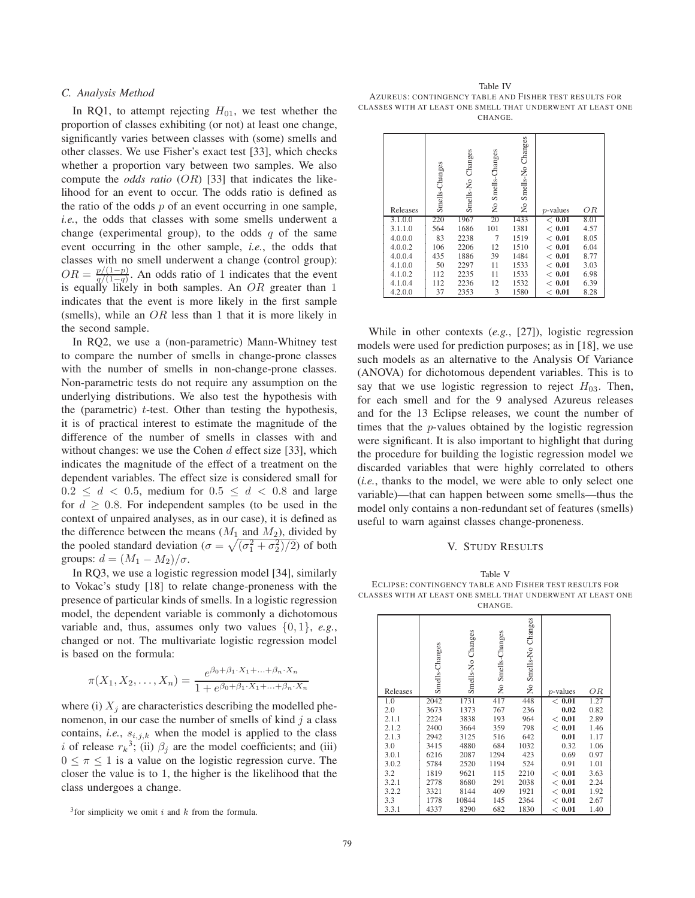# *C. Analysis Method*

In RQ1, to attempt rejecting  $H_{01}$ , we test whether the proportion of classes exhibiting (or not) at least one change, significantly varies between classes with (some) smells and other classes. We use Fisher's exact test [33], which checks whether a proportion vary between two samples. We also compute the *odds ratio* (OR) [33] that indicates the likelihood for an event to occur. The odds ratio is defined as the ratio of the odds  $p$  of an event occurring in one sample, *i.e.*, the odds that classes with some smells underwent a change (experimental group), to the odds  $q$  of the same event occurring in the other sample, *i.e.*, the odds that classes with no smell underwent a change (control group):  $OR = \frac{p/(1-p)}{q/(1-q)}$ . An odds ratio of 1 indicates that the event is equally likely in both samples. An  $OR$  greater than 1 indicates that the event is more likely in the first sample (smells), while an OR less than 1 that it is more likely in the second sample.

In RQ2, we use a (non-parametric) Mann-Whitney test to compare the number of smells in change-prone classes with the number of smells in non-change-prone classes. Non-parametric tests do not require any assumption on the underlying distributions. We also test the hypothesis with the (parametric)  $t$ -test. Other than testing the hypothesis, it is of practical interest to estimate the magnitude of the difference of the number of smells in classes with and without changes: we use the Cohen  $d$  effect size [33], which indicates the magnitude of the effect of a treatment on the dependent variables. The effect size is considered small for  $0.2 \leq d < 0.5$ , medium for  $0.5 \leq d < 0.8$  and large for  $d \geq 0.8$ . For independent samples (to be used in the context of unpaired analyses, as in our case), it is defined as the difference between the means  $(M_1 \text{ and } M_2)$ , divided by the pooled standard deviation  $(\sigma = \sqrt{(\sigma_1^2 + \sigma_2^2)/2})$  of both groups:  $d = (M_1 - M_2)/\sigma$ .

In RQ3, we use a logistic regression model [34], similarly to Vokac's study [18] to relate change-proneness with the presence of particular kinds of smells. In a logistic regression model, the dependent variable is commonly a dichotomous variable and, thus, assumes only two values {0, 1}, *e.g.*, changed or not. The multivariate logistic regression model is based on the formula:

$$
\pi(X_1, X_2, \dots, X_n) = \frac{e^{\beta_0 + \beta_1 \cdot X_1 + \dots + \beta_n \cdot X_n}}{1 + e^{\beta_0 + \beta_1 \cdot X_1 + \dots + \beta_n \cdot X_n}}
$$

where (i)  $X_i$  are characteristics describing the modelled phenomenon, in our case the number of smells of kind  $j$  a class contains, *i.e.*,  $s_{i,j,k}$  when the model is applied to the class i of release  $r_k^3$ ; (ii)  $\beta_j$  are the model coefficients; and (iii)  $0 \leq \pi \leq 1$  is a value on the logistic regression curve. The closer the value is to 1, the higher is the likelihood that the class undergoes a change.

Table IV AZUREUS: CONTINGENCY TABLE AND FISHER TEST RESULTS FOR CLASSES WITH AT LEAST ONE SMELL THAT UNDERWENT AT LEAST ONE CHANGE.

| Releases | Smells-Changes | Changes<br>Smells-No | No Smells-Changes | Smells-No Changes<br>$\frac{1}{2}$ | $p$ -values | ΟR   |
|----------|----------------|----------------------|-------------------|------------------------------------|-------------|------|
| 3.1.0.0  | 220            | 1967                 | 20                | 1433                               | < 0.01      | 8.01 |
| 3.1.1.0  | 564            | 1686                 | 101               | 1381                               | < 0.01      | 4.57 |
| 4.0.0.0  | 83             | 2238                 | 7                 | 1519                               | < 0.01      | 8.05 |
| 4.0.0.2  | 106            | 2206                 | 12                | 1510                               | < 0.01      | 6.04 |
| 4.0.0.4  | 435            | 1886                 | 39                | 1484                               | < 0.01      | 8.77 |
| 4.1.0.0  | 50             | 2297                 | 11                | 1533                               | < 0.01      | 3.03 |
| 4.1.0.2  | 112            | 2235                 | 11                | 1533                               | < 0.01      | 6.98 |
| 4.1.0.4  | 112            | 2236                 | 12                | 1532                               | < 0.01      | 6.39 |
| 4.2.0.0  | 37             | 2353                 | 3                 | 1580                               | < 0.01      | 8.28 |

While in other contexts (*e.g.*, [27]), logistic regression models were used for prediction purposes; as in [18], we use such models as an alternative to the Analysis Of Variance (ANOVA) for dichotomous dependent variables. This is to say that we use logistic regression to reject  $H_{03}$ . Then, for each smell and for the 9 analysed Azureus releases and for the 13 Eclipse releases, we count the number of times that the p-values obtained by the logistic regression were significant. It is also important to highlight that during the procedure for building the logistic regression model we discarded variables that were highly correlated to others (*i.e.*, thanks to the model, we were able to only select one variable)—that can happen between some smells—thus the model only contains a non-redundant set of features (smells) useful to warn against classes change-proneness.

#### V. STUDY RESULTS

Table V ECLIPSE: CONTINGENCY TABLE AND FISHER TEST RESULTS FOR CLASSES WITH AT LEAST ONE SMELL THAT UNDERWENT AT LEAST ONE CHANGE.

| Releases | Smells-Changes | Changes<br>Smells-No | No Smells-Changes | Changes<br>Smells-No<br>$\tilde{\mathbf{z}}$ | $p$ -values | ΟR   |
|----------|----------------|----------------------|-------------------|----------------------------------------------|-------------|------|
| 1.0      | 2042           | 1731                 | 417               | 448                                          | < 0.01      | 1.27 |
| 2.0      | 3673           | 1373                 | 767               | 236                                          | 0.02        | 0.82 |
| 2.1.1    | 2224           | 3838                 | 193               | 964                                          | < 0.01      | 2.89 |
| 2.1.2    | 2400           | 3664                 | 359               | 798                                          | < 0.01      | 1.46 |
| 2.1.3    | 2942           | 3125                 | 516               | 642                                          | 0.01        | 1.17 |
| 3.0      | 3415           | 4880                 | 684               | 1032                                         | 0.32        | 1.06 |
| 3.0.1    | 6216           | 2087                 | 1294              | 423                                          | 0.69        | 0.97 |
| 3.0.2    | 5784           | 2520                 | 1194              | 524                                          | 0.91        | 1.01 |
| 3.2      | 1819           | 9621                 | 115               | 2210                                         | < 0.01      | 3.63 |
| 3.2.1    | 2778           | 8680                 | 291               | 2038                                         | < 0.01      | 2.24 |
| 3.2.2    | 3321           | 8144                 | 409               | 1921                                         | < 0.01      | 1.92 |
| 3.3      | 1778           | 10844                | 145               | 2364                                         | < 0.01      | 2.67 |
| 3.3.1    | 4337           | 8290                 | 682               | 1830                                         | $<\,0.01$   | 1.40 |

 $3$  for simplicity we omit i and k from the formula.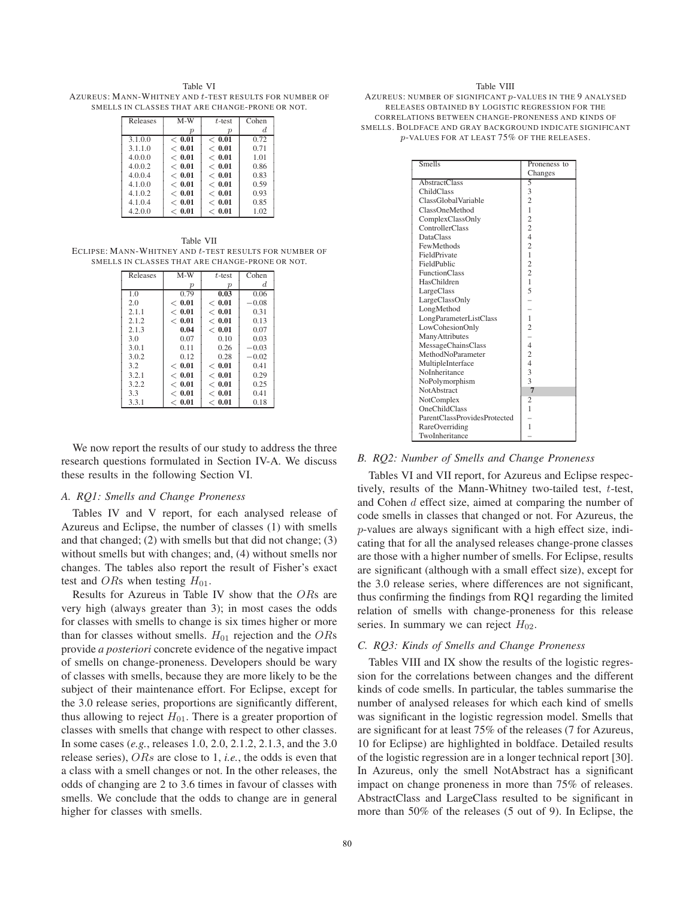Table VI AZUREUS: MANN-WHITNEY AND t-TEST RESULTS FOR NUMBER OF SMELLS IN CLASSES THAT ARE CHANGE-PRONE OR NOT.

| Releases | M-W           | $t$ -test        | Cohen |
|----------|---------------|------------------|-------|
|          | $\mathcal{p}$ | $\boldsymbol{p}$ | d.    |
| 3.1.0.0  | $<\,0.01$     | $<\,0.01$        | 0.72  |
| 3.1.1.0  | < 0.01        | $<\,0.01$        | 0.71  |
| 4.0.0.0  | < 0.01        | < 0.01           | 1.01  |
| 4.0.0.2  | < 0.01        | < 0.01           | 0.86  |
| 4.0.0.4  | < 0.01        | < 0.01           | 0.83  |
| 4.1.0.0  | < 0.01        | < 0.01           | 0.59  |
| 4.1.0.2  | $<\,0.01$     | < 0.01           | 0.93  |
| 4.1.0.4  | < 0.01        | < 0.01           | 0.85  |
| 4.2.0.0  | $<\,0.01$     | $<\,0.01$        | 1.02  |

Table VII ECLIPSE: MANN-WHITNEY AND  $t$ -TEST RESULTS FOR NUMBER OF SMELLS IN CLASSES THAT ARE CHANGE-PRONE OR NOT.

| Releases | $M-W$            | $t$ -test        | Cohen     |
|----------|------------------|------------------|-----------|
|          | $\boldsymbol{p}$ | $\boldsymbol{p}$ | $^{d}$    |
| 1.0      | 0.79             | 0.03             | 0.06      |
| 2.0      | < 0.01           | < 0.01           | 0.08<br>- |
| 2.1.1    | < 0.01           | < 0.01           | 0.31      |
| 2.1.2    | < 0.01           | < 0.01           | 0.13      |
| 2.1.3    | 0.04             | < 0.01           | 0.07      |
| 3.0      | 0.07             | 0.10             | 0.03      |
| 3.0.1    | 0.11             | 0.26             | $-0.03$   |
| 3.0.2    | 0.12             | 0.28             | $-0.02$   |
| 3.2      | < 0.01           | < 0.01           | 0.41      |
| 3.2.1    | < 0.01           | < 0.01           | 0.29      |
| 3.2.2    | < 0.01           | < 0.01           | 0.25      |
| 3.3      | $<\,0.01$        | $<\,0.01$        | 0.41      |
| 3.3.1    | $<\,0.01$        | $<\,0.01$        | 0.18      |

We now report the results of our study to address the three research questions formulated in Section IV-A. We discuss these results in the following Section VI.

#### *A. RQ1: Smells and Change Proneness*

Tables IV and V report, for each analysed release of Azureus and Eclipse, the number of classes (1) with smells and that changed; (2) with smells but that did not change; (3) without smells but with changes; and, (4) without smells nor changes. The tables also report the result of Fisher's exact test and ORs when testing  $H_{01}$ .

Results for Azureus in Table IV show that the ORs are very high (always greater than 3); in most cases the odds for classes with smells to change is six times higher or more than for classes without smells.  $H_{01}$  rejection and the ORs provide *a posteriori* concrete evidence of the negative impact of smells on change-proneness. Developers should be wary of classes with smells, because they are more likely to be the subject of their maintenance effort. For Eclipse, except for the 3.0 release series, proportions are significantly different, thus allowing to reject  $H_{01}$ . There is a greater proportion of classes with smells that change with respect to other classes. In some cases (*e.g.*, releases 1.0, 2.0, 2.1.2, 2.1.3, and the 3.0 release series), ORs are close to 1, *i.e.*, the odds is even that a class with a smell changes or not. In the other releases, the odds of changing are 2 to 3.6 times in favour of classes with smells. We conclude that the odds to change are in general higher for classes with smells.

#### Table VIII

AZUREUS: NUMBER OF SIGNIFICANT p-VALUES IN THE 9 ANALYSED RELEASES OBTAINED BY LOGISTIC REGRESSION FOR THE CORRELATIONS BETWEEN CHANGE-PRONENESS AND KINDS OF SMELLS. BOLDFACE AND GRAY BACKGROUND INDICATE SIGNIFICANT p-VALUES FOR AT LEAST 75% OF THE RELEASES.

| Smells                       | Proneness to            |
|------------------------------|-------------------------|
|                              | Changes                 |
| AbstractClass                | 5                       |
| ChildClass                   | 3                       |
| ClassGlobalVariable          | $\frac{1}{2}$           |
| ClassOneMethod               | $\mathbf{1}$            |
| ComplexClassOnly             | $\frac{2}{2}$           |
| <b>ControllerClass</b>       |                         |
| <b>DataClass</b>             | $\overline{4}$          |
| <b>FewMethods</b>            | $\frac{2}{1}$           |
| FieldPrivate                 |                         |
| FieldPublic                  | $\overline{\mathbf{c}}$ |
| <b>FunctionClass</b>         | $\overline{c}$          |
| HasChildren                  | $\mathbf{1}$            |
| LargeClass                   | 5                       |
| LargeClassOnly               |                         |
| LongMethod                   |                         |
| LongParameterListClass       | $\overline{1}$          |
| LowCohesionOnly              | $\overline{c}$          |
| ManyAttributes               |                         |
| MessageChainsClass           | $\overline{4}$          |
| MethodNoParameter            | $\overline{c}$          |
| MultipleInterface            | $\overline{4}$          |
| NoInheritance                | $\overline{\mathbf{3}}$ |
| NoPolymorphism               | $\overline{3}$          |
| <b>NotAbstract</b>           | $\overline{7}$          |
| NotComplex                   | $\overline{2}$          |
| <b>OneChildClass</b>         | $\mathbf{1}$            |
| ParentClassProvidesProtected |                         |
| <b>RareOverriding</b>        | 1                       |
| TwoInheritance               |                         |

## *B. RQ2: Number of Smells and Change Proneness*

Tables VI and VII report, for Azureus and Eclipse respectively, results of the Mann-Whitney two-tailed test, t-test, and Cohen d effect size, aimed at comparing the number of code smells in classes that changed or not. For Azureus, the p-values are always significant with a high effect size, indicating that for all the analysed releases change-prone classes are those with a higher number of smells. For Eclipse, results are significant (although with a small effect size), except for the 3.0 release series, where differences are not significant, thus confirming the findings from RQ1 regarding the limited relation of smells with change-proneness for this release series. In summary we can reject  $H_{02}$ .

#### *C. RQ3: Kinds of Smells and Change Proneness*

Tables VIII and IX show the results of the logistic regression for the correlations between changes and the different kinds of code smells. In particular, the tables summarise the number of analysed releases for which each kind of smells was significant in the logistic regression model. Smells that are significant for at least 75% of the releases (7 for Azureus, 10 for Eclipse) are highlighted in boldface. Detailed results of the logistic regression are in a longer technical report [30]. In Azureus, only the smell NotAbstract has a significant impact on change proneness in more than 75% of releases. AbstractClass and LargeClass resulted to be significant in more than 50% of the releases (5 out of 9). In Eclipse, the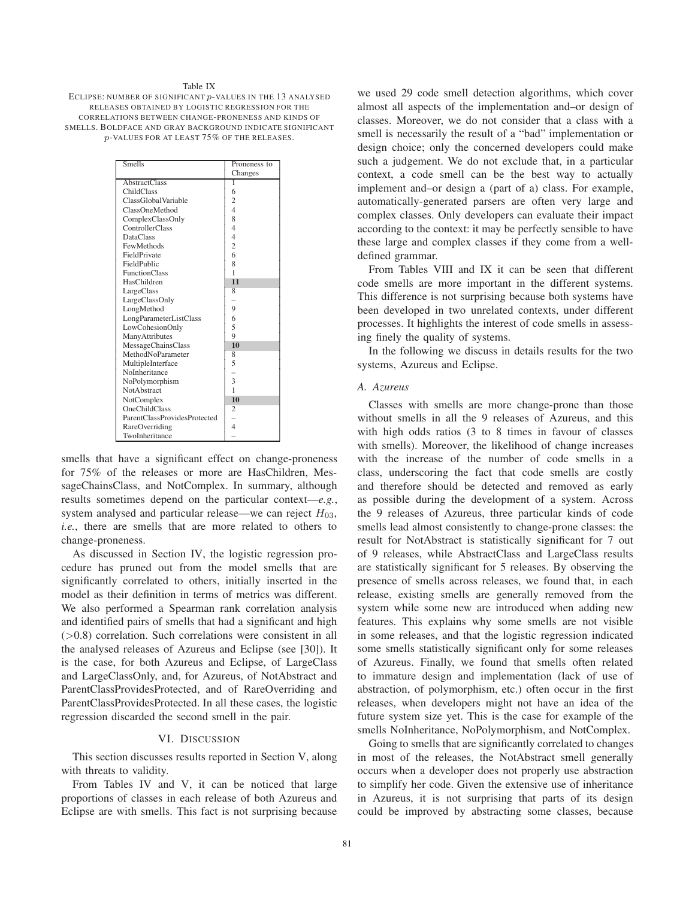#### Table IX

ECLIPSE: NUMBER OF SIGNIFICANT p-VALUES IN THE 13 ANALYSED RELEASES OBTAINED BY LOGISTIC REGRESSION FOR THE CORRELATIONS BETWEEN CHANGE-PRONENESS AND KINDS OF SMELLS. BOLDFACE AND GRAY BACKGROUND INDICATE SIGNIFICANT p-VALUES FOR AT LEAST 75% OF THE RELEASES.



smells that have a significant effect on change-proneness for 75% of the releases or more are HasChildren, MessageChainsClass, and NotComplex. In summary, although results sometimes depend on the particular context—*e.g.*, system analysed and particular release—we can reject  $H_{03}$ , *i.e.*, there are smells that are more related to others to change-proneness.

As discussed in Section IV, the logistic regression procedure has pruned out from the model smells that are significantly correlated to others, initially inserted in the model as their definition in terms of metrics was different. We also performed a Spearman rank correlation analysis and identified pairs of smells that had a significant and high  $(>0.8)$  correlation. Such correlations were consistent in all the analysed releases of Azureus and Eclipse (see [30]). It is the case, for both Azureus and Eclipse, of LargeClass and LargeClassOnly, and, for Azureus, of NotAbstract and ParentClassProvidesProtected, and of RareOverriding and ParentClassProvidesProtected. In all these cases, the logistic regression discarded the second smell in the pair.

#### VI. DISCUSSION

This section discusses results reported in Section V, along with threats to validity.

From Tables IV and V, it can be noticed that large proportions of classes in each release of both Azureus and Eclipse are with smells. This fact is not surprising because we used 29 code smell detection algorithms, which cover almost all aspects of the implementation and–or design of classes. Moreover, we do not consider that a class with a smell is necessarily the result of a "bad" implementation or design choice; only the concerned developers could make such a judgement. We do not exclude that, in a particular context, a code smell can be the best way to actually implement and–or design a (part of a) class. For example, automatically-generated parsers are often very large and complex classes. Only developers can evaluate their impact according to the context: it may be perfectly sensible to have these large and complex classes if they come from a welldefined grammar.

From Tables VIII and IX it can be seen that different code smells are more important in the different systems. This difference is not surprising because both systems have been developed in two unrelated contexts, under different processes. It highlights the interest of code smells in assessing finely the quality of systems.

In the following we discuss in details results for the two systems, Azureus and Eclipse.

#### *A. Azureus*

Classes with smells are more change-prone than those without smells in all the 9 releases of Azureus, and this with high odds ratios (3 to 8 times in favour of classes with smells). Moreover, the likelihood of change increases with the increase of the number of code smells in a class, underscoring the fact that code smells are costly and therefore should be detected and removed as early as possible during the development of a system. Across the 9 releases of Azureus, three particular kinds of code smells lead almost consistently to change-prone classes: the result for NotAbstract is statistically significant for 7 out of 9 releases, while AbstractClass and LargeClass results are statistically significant for 5 releases. By observing the presence of smells across releases, we found that, in each release, existing smells are generally removed from the system while some new are introduced when adding new features. This explains why some smells are not visible in some releases, and that the logistic regression indicated some smells statistically significant only for some releases of Azureus. Finally, we found that smells often related to immature design and implementation (lack of use of abstraction, of polymorphism, etc.) often occur in the first releases, when developers might not have an idea of the future system size yet. This is the case for example of the smells NoInheritance, NoPolymorphism, and NotComplex.

Going to smells that are significantly correlated to changes in most of the releases, the NotAbstract smell generally occurs when a developer does not properly use abstraction to simplify her code. Given the extensive use of inheritance in Azureus, it is not surprising that parts of its design could be improved by abstracting some classes, because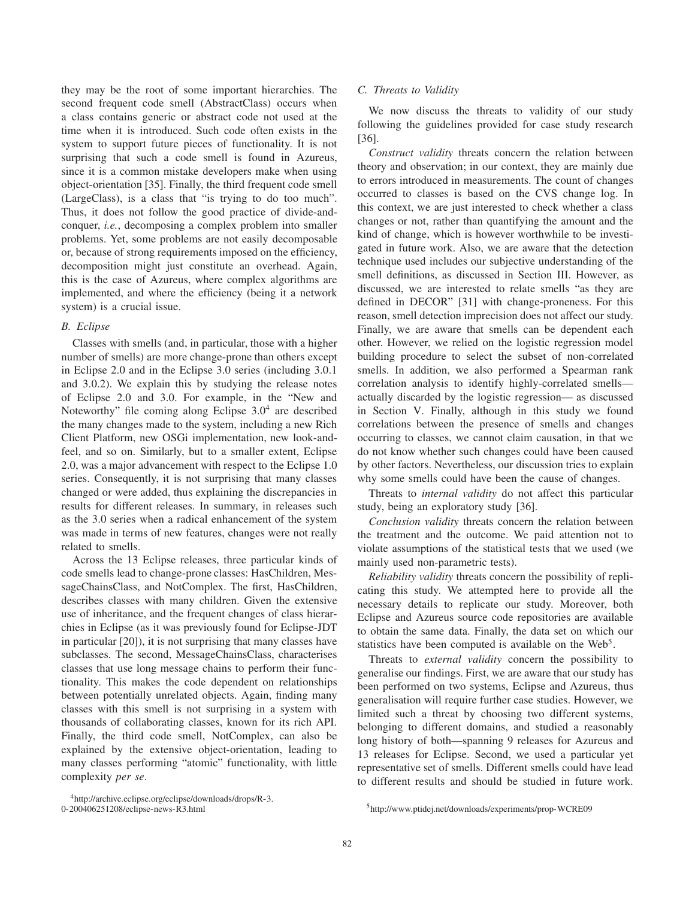they may be the root of some important hierarchies. The second frequent code smell (AbstractClass) occurs when a class contains generic or abstract code not used at the time when it is introduced. Such code often exists in the system to support future pieces of functionality. It is not surprising that such a code smell is found in Azureus, since it is a common mistake developers make when using object-orientation [35]. Finally, the third frequent code smell (LargeClass), is a class that "is trying to do too much". Thus, it does not follow the good practice of divide-andconquer, *i.e.*, decomposing a complex problem into smaller problems. Yet, some problems are not easily decomposable or, because of strong requirements imposed on the efficiency, decomposition might just constitute an overhead. Again, this is the case of Azureus, where complex algorithms are implemented, and where the efficiency (being it a network system) is a crucial issue.

# *B. Eclipse*

Classes with smells (and, in particular, those with a higher number of smells) are more change-prone than others except in Eclipse 2.0 and in the Eclipse 3.0 series (including 3.0.1 and 3.0.2). We explain this by studying the release notes of Eclipse 2.0 and 3.0. For example, in the "New and Noteworthy" file coming along Eclipse 3.0<sup>4</sup> are described the many changes made to the system, including a new Rich Client Platform, new OSGi implementation, new look-andfeel, and so on. Similarly, but to a smaller extent, Eclipse 2.0, was a major advancement with respect to the Eclipse 1.0 series. Consequently, it is not surprising that many classes changed or were added, thus explaining the discrepancies in results for different releases. In summary, in releases such as the 3.0 series when a radical enhancement of the system was made in terms of new features, changes were not really related to smells.

Across the 13 Eclipse releases, three particular kinds of code smells lead to change-prone classes: HasChildren, MessageChainsClass, and NotComplex. The first, HasChildren, describes classes with many children. Given the extensive use of inheritance, and the frequent changes of class hierarchies in Eclipse (as it was previously found for Eclipse-JDT in particular [20]), it is not surprising that many classes have subclasses. The second, MessageChainsClass, characterises classes that use long message chains to perform their functionality. This makes the code dependent on relationships between potentially unrelated objects. Again, finding many classes with this smell is not surprising in a system with thousands of collaborating classes, known for its rich API. Finally, the third code smell, NotComplex, can also be explained by the extensive object-orientation, leading to many classes performing "atomic" functionality, with little complexity *per se*.

#### 4http://archive.eclipse.org/eclipse/downloads/drops/R-3.

### *C. Threats to Validity*

We now discuss the threats to validity of our study following the guidelines provided for case study research [36].

*Construct validity* threats concern the relation between theory and observation; in our context, they are mainly due to errors introduced in measurements. The count of changes occurred to classes is based on the CVS change log. In this context, we are just interested to check whether a class changes or not, rather than quantifying the amount and the kind of change, which is however worthwhile to be investigated in future work. Also, we are aware that the detection technique used includes our subjective understanding of the smell definitions, as discussed in Section III. However, as discussed, we are interested to relate smells "as they are defined in DECOR" [31] with change-proneness. For this reason, smell detection imprecision does not affect our study. Finally, we are aware that smells can be dependent each other. However, we relied on the logistic regression model building procedure to select the subset of non-correlated smells. In addition, we also performed a Spearman rank correlation analysis to identify highly-correlated smells actually discarded by the logistic regression— as discussed in Section V. Finally, although in this study we found correlations between the presence of smells and changes occurring to classes, we cannot claim causation, in that we do not know whether such changes could have been caused by other factors. Nevertheless, our discussion tries to explain why some smells could have been the cause of changes.

Threats to *internal validity* do not affect this particular study, being an exploratory study [36].

*Conclusion validity* threats concern the relation between the treatment and the outcome. We paid attention not to violate assumptions of the statistical tests that we used (we mainly used non-parametric tests).

*Reliability validity* threats concern the possibility of replicating this study. We attempted here to provide all the necessary details to replicate our study. Moreover, both Eclipse and Azureus source code repositories are available to obtain the same data. Finally, the data set on which our statistics have been computed is available on the  $Web<sup>5</sup>$ .

Threats to *external validity* concern the possibility to generalise our findings. First, we are aware that our study has been performed on two systems, Eclipse and Azureus, thus generalisation will require further case studies. However, we limited such a threat by choosing two different systems, belonging to different domains, and studied a reasonably long history of both—spanning 9 releases for Azureus and 13 releases for Eclipse. Second, we used a particular yet representative set of smells. Different smells could have lead to different results and should be studied in future work.

<sup>0-200406251208/</sup>eclipse-news-R3.html

<sup>5</sup>http://www.ptidej.net/downloads/experiments/prop-WCRE09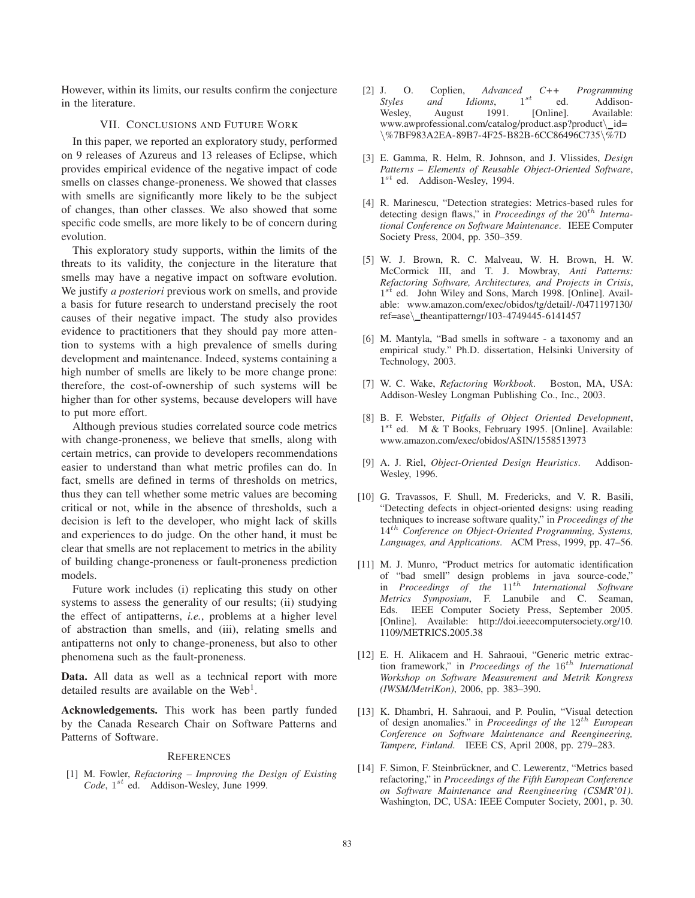However, within its limits, our results confirm the conjecture in the literature.

## VII. CONCLUSIONS AND FUTURE WORK

In this paper, we reported an exploratory study, performed on 9 releases of Azureus and 13 releases of Eclipse, which provides empirical evidence of the negative impact of code smells on classes change-proneness. We showed that classes with smells are significantly more likely to be the subject of changes, than other classes. We also showed that some specific code smells, are more likely to be of concern during evolution.

This exploratory study supports, within the limits of the threats to its validity, the conjecture in the literature that smells may have a negative impact on software evolution. We justify *a posteriori* previous work on smells, and provide a basis for future research to understand precisely the root causes of their negative impact. The study also provides evidence to practitioners that they should pay more attention to systems with a high prevalence of smells during development and maintenance. Indeed, systems containing a high number of smells are likely to be more change prone: therefore, the cost-of-ownership of such systems will be higher than for other systems, because developers will have to put more effort.

Although previous studies correlated source code metrics with change-proneness, we believe that smells, along with certain metrics, can provide to developers recommendations easier to understand than what metric profiles can do. In fact, smells are defined in terms of thresholds on metrics, thus they can tell whether some metric values are becoming critical or not, while in the absence of thresholds, such a decision is left to the developer, who might lack of skills and experiences to do judge. On the other hand, it must be clear that smells are not replacement to metrics in the ability of building change-proneness or fault-proneness prediction models.

Future work includes (i) replicating this study on other systems to assess the generality of our results; (ii) studying the effect of antipatterns, *i.e.*, problems at a higher level of abstraction than smells, and (iii), relating smells and antipatterns not only to change-proneness, but also to other phenomena such as the fault-proneness.

**Data.** All data as well as a technical report with more detailed results are available on the  $Web<sup>1</sup>$ .

**Acknowledgements.** This work has been partly funded by the Canada Research Chair on Software Patterns and Patterns of Software.

#### **REFERENCES**

[1] M. Fowler, *Refactoring – Improving the Design of Existing* Code, 1<sup>st</sup> ed. Addison-Wesley, June 1999.

- [2] J. O. Coplien, *Advanced C++ Programming Styles and Idioms*, 1<sup>st</sup> ed. Addison-<br>Wesley, August 1991. [Online]. Available: August 1991. [Online]. Available: www.awprofessional.com/catalog/product.asp?product\ id= \%7BF983A2EA-89B7-4F25-B82B-6CC86496C735\%7D
- [3] E. Gamma, R. Helm, R. Johnson, and J. Vlissides, *Design Patterns – Elements of Reusable Object-Oriented Software*,  $1^{st}$  ed. Addison-Wesley, 1994.
- [4] R. Marinescu, "Detection strategies: Metrics-based rules for detecting design flaws," in *Proceedings of the*  $20^{th}$  *International Conference on Software Maintenance*. IEEE Computer Society Press, 2004, pp. 350–359.
- [5] W. J. Brown, R. C. Malveau, W. H. Brown, H. W. McCormick III, and T. J. Mowbray, *Anti Patterns: Refactoring Software, Architectures, and Projects in Crisis*,  $1<sup>st</sup>$  ed. John Wiley and Sons, March 1998. [Online]. Available: www.amazon.com/exec/obidos/tg/detail/-/0471197130/ ref=ase\ theantipatterngr/103-4749445-6141457
- [6] M. Mantyla, "Bad smells in software a taxonomy and an empirical study." Ph.D. dissertation, Helsinki University of Technology, 2003.
- [7] W. C. Wake, *Refactoring Workbook*. Boston, MA, USA: Addison-Wesley Longman Publishing Co., Inc., 2003.
- [8] B. F. Webster, *Pitfalls of Object Oriented Development*,  $1^{st}$  ed. M & T Books, February 1995. [Online]. Available: www.amazon.com/exec/obidos/ASIN/1558513973
- [9] A. J. Riel, *Object-Oriented Design Heuristics*. Addison-Wesley, 1996.
- [10] G. Travassos, F. Shull, M. Fredericks, and V. R. Basili, "Detecting defects in object-oriented designs: using reading techniques to increase software quality," in *Proceedings of the* 14th *Conference on Object-Oriented Programming, Systems, Languages, and Applications*. ACM Press, 1999, pp. 47–56.
- [11] M. J. Munro, "Product metrics for automatic identification of "bad smell" design problems in java source-code," in *Proceedings of the* 11th *International Software Metrics Symposium*, F. Lanubile and C. Seaman, Eds. IEEE Computer Society Press, September 2005. [Online]. Available: http://doi.ieeecomputersociety.org/10. 1109/METRICS.2005.38
- [12] E. H. Alikacem and H. Sahraoui, "Generic metric extraction framework," in *Proceedings of the* 16th *International Workshop on Software Measurement and Metrik Kongress (IWSM/MetriKon)*, 2006, pp. 383–390.
- [13] K. Dhambri, H. Sahraoui, and P. Poulin, "Visual detection of design anomalies." in *Proceedings of the* 12th *European Conference on Software Maintenance and Reengineering, Tampere, Finland*. IEEE CS, April 2008, pp. 279–283.
- [14] F. Simon, F. Steinbrückner, and C. Lewerentz, "Metrics based refactoring," in *Proceedings of the Fifth European Conference on Software Maintenance and Reengineering (CSMR'01)*. Washington, DC, USA: IEEE Computer Society, 2001, p. 30.